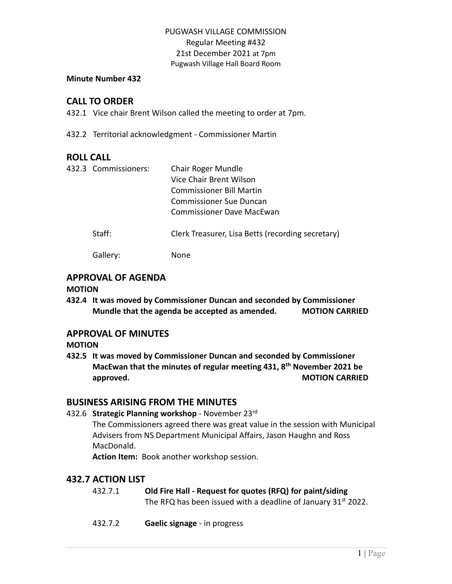### **Minute Number 432**

## **CALL TO ORDER**

432.1 Vice chair Brent Wilson called the meeting to order at 7pm.

432.2 Territorial acknowledgment - Commissioner Martin

## **ROLL CALL**

| 432.3 Commissioners: | Chair Roger Mundle<br>Vice Chair Brent Wilson<br><b>Commissioner Bill Martin</b><br>Commissioner Sue Duncan<br>Commissioner Dave MacEwan |
|----------------------|------------------------------------------------------------------------------------------------------------------------------------------|
| Staff:               | Clerk Treasurer, Lisa Betts (recording secretary)                                                                                        |
| Gallery:             | None                                                                                                                                     |

# **APPROVAL OF AGENDA**

### **MOTION**

**432.4 It was moved by Commissioner Duncan and seconded by Commissioner Mundle that the agenda be accepted as amended. MOTION CARRIED**

## **APPROVAL OF MINUTES**

**MOTION**

**432.5 It was moved by Commissioner Duncan and seconded by Commissioner MacEwan that the minutes of regular meeting 431, 8 th November 2021 be approved. MOTION CARRIED** 

## **BUSINESS ARISING FROM THE MINUTES**

432.6 **Strategic Planning workshop** - November 23rd

The Commissioners agreed there was great value in the session with Municipal Advisers from NS Department Municipal Affairs, Jason Haughn and Ross MacDonald.

**Action Item:** Book another workshop session.

# **432.7 ACTION LIST**

- 432.7.1 **Old Fire Hall - Request for quotes (RFQ) for paint/siding** The RFQ has been issued with a deadline of January  $31<sup>st</sup> 2022$ .
- 432.7.2 **Gaelic signage** in progress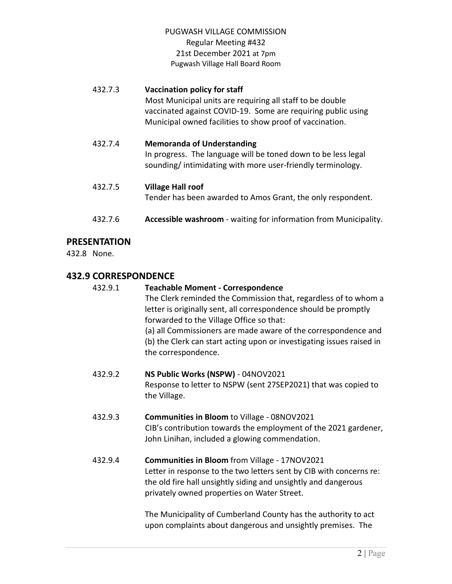| 432.7.3 | Vaccination policy for staff<br>Most Municipal units are requiring all staff to be double<br>vaccinated against COVID-19. Some are requiring public using<br>Municipal owned facilities to show proof of vaccination. |
|---------|-----------------------------------------------------------------------------------------------------------------------------------------------------------------------------------------------------------------------|
| 432.7.4 | <b>Memoranda of Understanding</b><br>In progress. The language will be toned down to be less legal<br>sounding/intimidating with more user-friendly terminology.                                                      |
| 432.7.5 | <b>Village Hall roof</b><br>Tender has been awarded to Amos Grant, the only respondent.                                                                                                                               |
| 432.7.6 | Accessible washroom - waiting for information from Municipality.                                                                                                                                                      |

# **PRESENTATION**

432.8 None.

# **432.9 CORRESPONDENCE**

| 432.9.1 | <b>Teachable Moment - Correspondence</b><br>The Clerk reminded the Commission that, regardless of to whom a<br>letter is originally sent, all correspondence should be promptly<br>forwarded to the Village Office so that:<br>(a) all Commissioners are made aware of the correspondence and<br>(b) the Clerk can start acting upon or investigating issues raised in<br>the correspondence. |
|---------|-----------------------------------------------------------------------------------------------------------------------------------------------------------------------------------------------------------------------------------------------------------------------------------------------------------------------------------------------------------------------------------------------|
| 432.9.2 | NS Public Works (NSPW) - 04NOV2021<br>Response to letter to NSPW (sent 27SEP2021) that was copied to<br>the Village.                                                                                                                                                                                                                                                                          |
| 432.9.3 | <b>Communities in Bloom to Village - 08NOV2021</b><br>CIB's contribution towards the employment of the 2021 gardener,<br>John Linihan, included a glowing commendation.                                                                                                                                                                                                                       |
| 432.9.4 | Communities in Bloom from Village - 17NOV2021<br>Letter in response to the two letters sent by CIB with concerns re:<br>the old fire hall unsightly siding and unsightly and dangerous<br>privately owned properties on Water Street.                                                                                                                                                         |
|         | The Municipality of Cumberland County has the authority to act<br>upon complaints about dangerous and unsightly premises. The                                                                                                                                                                                                                                                                 |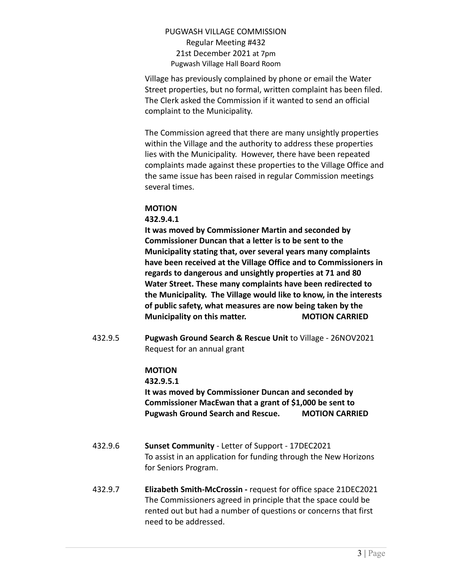Village has previously complained by phone or email the Water Street properties, but no formal, written complaint has been filed. The Clerk asked the Commission if it wanted to send an official complaint to the Municipality.

The Commission agreed that there are many unsightly properties within the Village and the authority to address these properties lies with the Municipality. However, there have been repeated complaints made against these properties to the Village Office and the same issue has been raised in regular Commission meetings several times.

### **MOTION**

### **432.9.4.1**

**It was moved by Commissioner Martin and seconded by Commissioner Duncan that a letter is to be sent to the Municipality stating that, over several years many complaints have been received at the Village Office and to Commissioners in regards to dangerous and unsightly properties at 71 and 80 Water Street. These many complaints have been redirected to the Municipality. The Village would like to know, in the interests of public safety, what measures are now being taken by the Municipality on this matter. MOTION CARRIED**

432.9.5 **Pugwash Ground Search & Rescue Unit** to Village - 26NOV2021 Request for an annual grant

## **MOTION**

**432.9.5.1**

**It was moved by Commissioner Duncan and seconded by Commissioner MacEwan that a grant of \$1,000 be sent to Pugwash Ground Search and Rescue. MOTION CARRIED**

- 432.9.6 **Sunset Community** Letter of Support 17DEC2021 To assist in an application for funding through the New Horizons for Seniors Program.
- 432.9.7 **Elizabeth Smith-McCrossin -** request for office space 21DEC2021 The Commissioners agreed in principle that the space could be rented out but had a number of questions or concerns that first need to be addressed.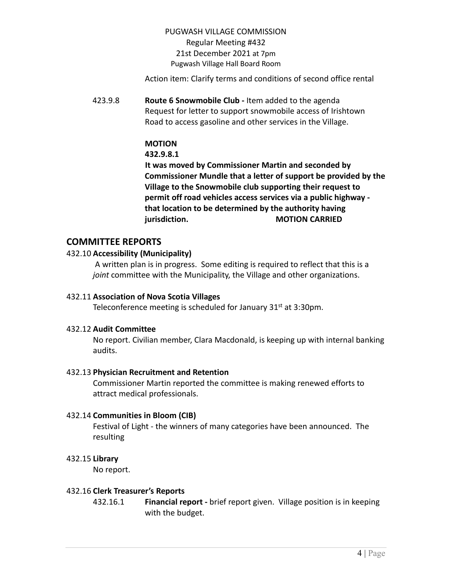Action item: Clarify terms and conditions of second office rental

423.9.8 **Route 6 Snowmobile Club -** Item added to the agenda Request for letter to support snowmobile access of Irishtown Road to access gasoline and other services in the Village.

# **MOTION**

### **432.9.8.1**

**It was moved by Commissioner Martin and seconded by Commissioner Mundle that a letter of support be provided by the Village to the Snowmobile club supporting their request to permit off road vehicles access services via a public highway that location to be determined by the authority having jurisdiction. MOTION CARRIED**

## **COMMITTEE REPORTS**

### 432.10 **Accessibility (Municipality)**

A written plan is in progress. Some editing is required to reflect that this is a *joint* committee with the Municipality, the Village and other organizations.

### 432.11 **Association of Nova Scotia Villages**

Teleconference meeting is scheduled for January  $31<sup>st</sup>$  at 3:30pm.

### 432.12 **Audit Committee**

No report. Civilian member, Clara Macdonald, is keeping up with internal banking audits.

### 432.13 **Physician Recruitment and Retention**

Commissioner Martin reported the committee is making renewed efforts to attract medical professionals.

### 432.14 **Communities in Bloom (CIB)**

Festival of Light - the winners of many categories have been announced. The resulting

### 432.15 **Library**

No report.

### 432.16 **Clerk Treasurer's Reports**

432.16.1 **Financial report -** brief report given. Village position is in keeping with the budget.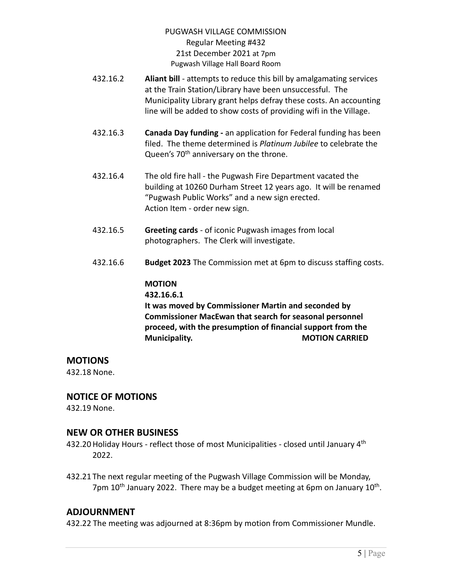- 432.16.2 **Aliant bill** attempts to reduce this bill by amalgamating services at the Train Station/Library have been unsuccessful. The Municipality Library grant helps defray these costs. An accounting line will be added to show costs of providing wifi in the Village.
- 432.16.3 **Canada Day funding -** an application for Federal funding has been filed. The theme determined is *Platinum Jubilee* to celebrate the Queen's 70<sup>th</sup> anniversary on the throne.
- 432.16.4 The old fire hall the Pugwash Fire Department vacated the building at 10260 Durham Street 12 years ago. It will be renamed "Pugwash Public Works" and a new sign erected. Action Item - order new sign.
- 432.16.5 **Greeting cards** of iconic Pugwash images from local photographers. The Clerk will investigate.
- 432.16.6 **Budget 2023** The Commission met at 6pm to discuss staffing costs.

#### **MOTION 432.16.6.1**

**It was moved by Commissioner Martin and seconded by Commissioner MacEwan that search for seasonal personnel proceed, with the presumption of financial support from the Municipality. MOTION CARRIED** 

# **MOTIONS**

432.18 None.

# **NOTICE OF MOTIONS**

432.19 None.

# **NEW OR OTHER BUSINESS**

- 432.20 Holiday Hours reflect those of most Municipalities closed until January 4<sup>th</sup> 2022.
- 432.21 The next regular meeting of the Pugwash Village Commission will be Monday, 7pm 10<sup>th</sup> January 2022. There may be a budget meeting at 6pm on January 10<sup>th</sup>.

# **ADJOURNMENT**

432.22 The meeting was adjourned at 8:36pm by motion from Commissioner Mundle.